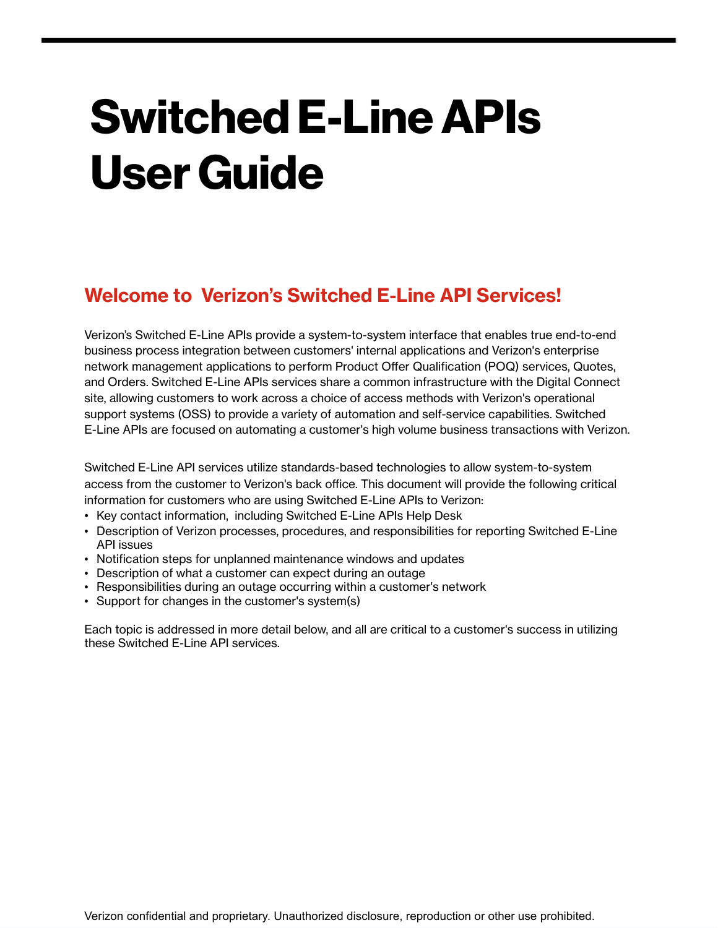# **SwitchedE-LineAPIs User Guide**

## **Welcome to Verizon's Switched E-Line API Services!**

Verizon's Switched E-Line APIs provide a system-to-system interface that enables true end-to-end business process integration between customers' internal applications and Verizon's enterprise network management applications to perform Product Offer Qualification (POQ) services, Quotes, and Orders. Switched E-Line APIs services share a common infrastructure with the Digital Connect site, allowing customers to work across a choice of access methods with Verizon's operational support systems (OSS) to provide a variety of automation and self-service capabilities. Switched E-Line APIs are focused on automating a customer's high volume business transactions with Verizon.

Switched E-Line API services utilize standards-based technologies to allow system-to-system access from the customer to Verizon's back office. This document will provide the following critical information for customers who are using Switched E-Line APIs to Verizon:

- Key contact information, including Switched E-Line APIs Help Desk
- Description of Verizon processes, procedures, and responsibilities for reporting Switched E-Line API issues
- Notification steps for unplanned maintenance windows and updates
- Description of what a customer can expect during an outage
- Responsibilities during an outage occurring within a customer's network
- Support for changes in the customer's system(s)

Each topic is addressed in more detail below, and all are critical to a customer's success in utilizing these Switched E-Line API services.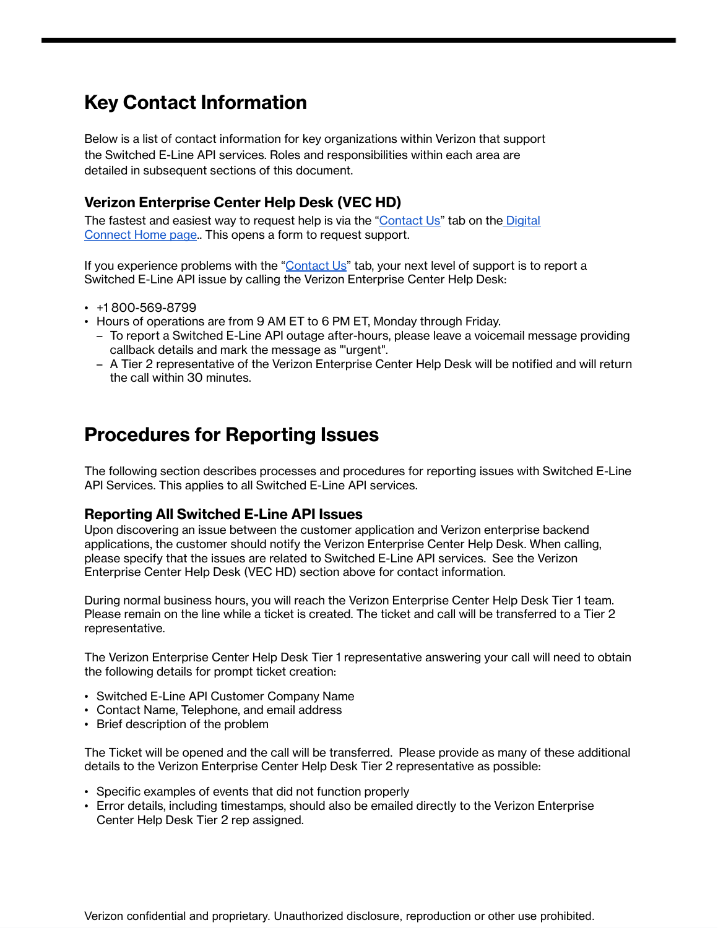# **Key Contact Information**

Below is a list of contact information for key organizations within Verizon that support the Switched E-Line API services. Roles and responsibilities within each area are detailed in subsequent sections of this document.

#### **Verizon Enterprise Center Help Desk (VEC HD)**

The fastest and easiest way to request help is via the ["Contact](https://digitalconnect.verizon.com/contact) Us" tab on the [Digital](https://digitalconnect.verizon.com/) [Connect](https://digitalconnect.verizon.com/) Home page.. This opens a form to request support.

If you experience problems with the "[Contact](https://digitalconnect.verizon.com/contact) Us" tab, your next level of support is to report a Switched E-Line API issue by calling the Verizon Enterprise Center Help Desk:

- +1 800-569-8799
- Hours of operations are from 9 AM ET to 6 PM ET, Monday through Friday.
	- To report a Switched E-Line API outage after-hours, please leave a voicemail message providing callback details and mark the message as "'urgent".
	- A Tier 2 representative of the Verizon Enterprise Center Help Desk will be notified and will return the call within 30 minutes.

### **Procedures for Reporting Issues**

The following section describes processes and procedures for reporting issues with Switched E-Line API Services. This applies to all Switched E-Line API services.

#### **Reporting All Switched E-Line API Issues**

Upon discovering an issue between the customer application and Verizon enterprise backend applications, the customer should notify the Verizon Enterprise Center Help Desk. When calling, please specify that the issues are related to Switched E-Line API services. See the Verizon Enterprise Center Help Desk (VEC HD) section above for contact information.

During normal business hours, you will reach the Verizon Enterprise Center Help Desk Tier 1 team. Please remain on the line while a ticket is created. The ticket and call will be transferred to a Tier 2 representative.

The Verizon Enterprise Center Help Desk Tier 1 representative answering your call will need to obtain the following details for prompt ticket creation:

- Switched E-Line API Customer Company Name
- Contact Name, Telephone, and email address
- Brief description of the problem

The Ticket will be opened and the call will be transferred. Please provide as many of these additional details to the Verizon Enterprise Center Help Desk Tier 2 representative as possible:

- Specific examples of events that did not function properly
- Error details, including timestamps, should also be emailed directly to the Verizon Enterprise Center Help Desk Tier 2 rep assigned.

Verizon confidential and proprietary. Unauthorized disclosure, reproduction or other use prohibited.